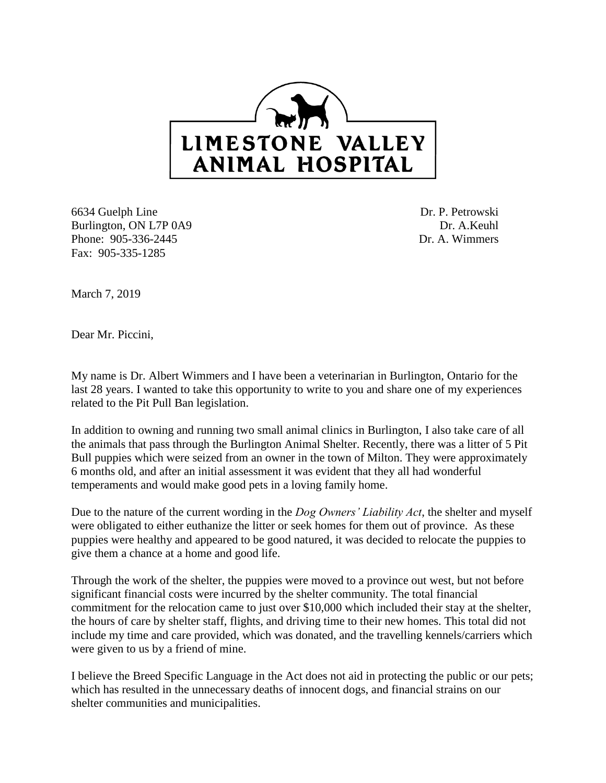

6634 Guelph Line Burlington, ON L7P 0A9 Phone: 905-336-2445 Fax: 905-335-1285

Dr. P. Petrowski Dr. A.Keuhl Dr. A. Wimmers

March 7, 2019

Dear Mr. Piccini,

My name is Dr. Albert Wimmers and I have been a veterinarian in Burlington, Ontario for the last 28 years. I wanted to take this opportunity to write to you and share one of my experiences related to the Pit Pull Ban legislation.

In addition to owning and running two small animal clinics in Burlington, I also take care of all the animals that pass through the Burlington Animal Shelter. Recently, there was a litter of 5 Pit Bull puppies which were seized from an owner in the town of Milton. They were approximately 6 months old, and after an initial assessment it was evident that they all had wonderful temperaments and would make good pets in a loving family home.

Due to the nature of the current wording in the *Dog Owners' Liability Act*, the shelter and myself were obligated to either euthanize the litter or seek homes for them out of province. As these puppies were healthy and appeared to be good natured, it was decided to relocate the puppies to give them a chance at a home and good life.

Through the work of the shelter, the puppies were moved to a province out west, but not before significant financial costs were incurred by the shelter community. The total financial commitment for the relocation came to just over \$10,000 which included their stay at the shelter, the hours of care by shelter staff, flights, and driving time to their new homes. This total did not include my time and care provided, which was donated, and the travelling kennels/carriers which were given to us by a friend of mine.

I believe the Breed Specific Language in the Act does not aid in protecting the public or our pets; which has resulted in the unnecessary deaths of innocent dogs, and financial strains on our shelter communities and municipalities.